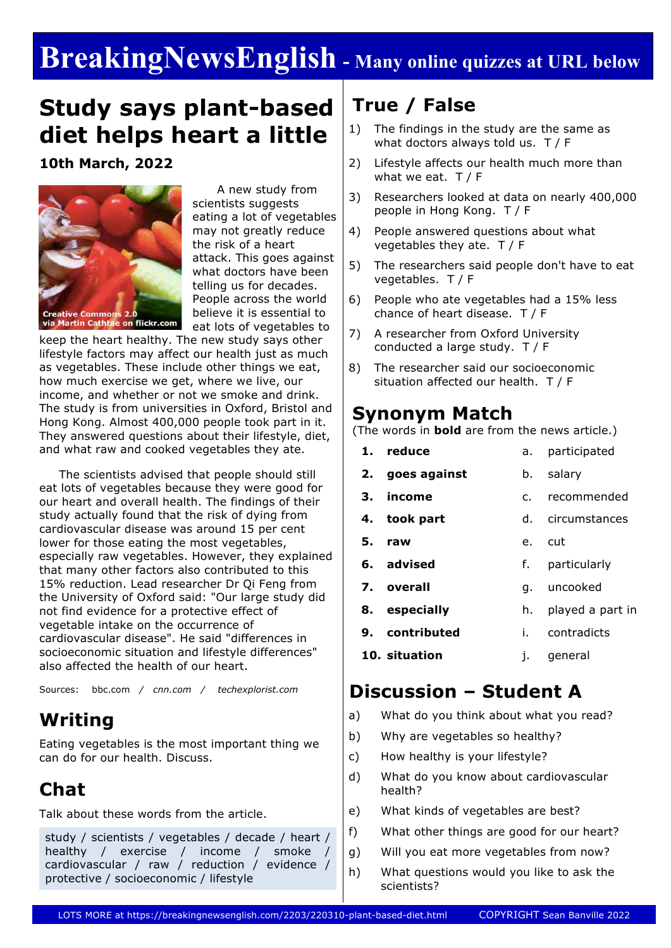# **BreakingNewsEnglish - Many online quizzes at URL below**

## **Study says plant-based diet helps heart a little**

**10th March, 2022**



 A new study from scientists suggests eating a lot of vegetables may not greatly reduce the risk of a heart attack. This goes against what doctors have been telling us for decades. People across the world believe it is essential to eat lots of vegetables to

keep the heart healthy. The new study says other lifestyle factors may affect our health just as much as vegetables. These include other things we eat, how much exercise we get, where we live, our income, and whether or not we smoke and drink. The study is from universities in Oxford, Bristol and Hong Kong. Almost 400,000 people took part in it. They answered questions about their lifestyle, diet, and what raw and cooked vegetables they ate.

 The scientists advised that people should still eat lots of vegetables because they were good for our heart and overall health. The findings of their study actually found that the risk of dying from cardiovascular disease was around 15 per cent lower for those eating the most vegetables, especially raw vegetables. However, they explained that many other factors also contributed to this 15% reduction. Lead researcher Dr Qi Feng from the University of Oxford said: "Our large study did not find evidence for a protective effect of vegetable intake on the occurrence of cardiovascular disease". He said "differences in socioeconomic situation and lifestyle differences" also affected the health of our heart.

Sources: bbc.com */ cnn.com / techexplorist.com*

### **Writing**

Eating vegetables is the most important thing we can do for our health. Discuss.

### **Chat**

Talk about these words from the article.

study / scientists / vegetables / decade / heart / healthy / exercise / income / smoke / cardiovascular / raw / reduction / evidence / protective / socioeconomic / lifestyle

### **True / False**

- 1) The findings in the study are the same as what doctors always told us. T / F
- 2) Lifestyle affects our health much more than what we eat. T/F
- 3) Researchers looked at data on nearly 400,000 people in Hong Kong. T / F
- 4) People answered questions about what vegetables they ate. T / F
- 5) The researchers said people don't have to eat vegetables. T / F
- 6) People who ate vegetables had a 15% less chance of heart disease. T / F
- 7) A researcher from Oxford University conducted a large study. T / F
- 8) The researcher said our socioeconomic situation affected our health. T / F

#### **Synonym Match**

(The words in **bold** are from the news article.)

|               | 1. reduce       | а. –           | participated     |  |
|---------------|-----------------|----------------|------------------|--|
|               | 2. goes against | b.             | salary           |  |
| з.            | income          | $\mathsf{C}$ . | recommended      |  |
|               | 4. took part    |                | d. circumstances |  |
|               | raw             |                | e. cut           |  |
|               | 6. advised      | f.             | particularly     |  |
|               | 7. overall      |                | q. uncooked      |  |
|               | 8. especially   | h.             | played a part in |  |
|               | 9. contributed  | i. –           | contradicts      |  |
| 10. situation |                 | i.             | general          |  |
|               |                 |                |                  |  |

#### **Discussion – Student A**

- a) What do you think about what you read?
- b) Why are vegetables so healthy?
- c) How healthy is your lifestyle?
- d) What do you know about cardiovascular health?
- e) What kinds of vegetables are best?
- f) What other things are good for our heart?
- g) Will you eat more vegetables from now?
- h) What questions would you like to ask the scientists?